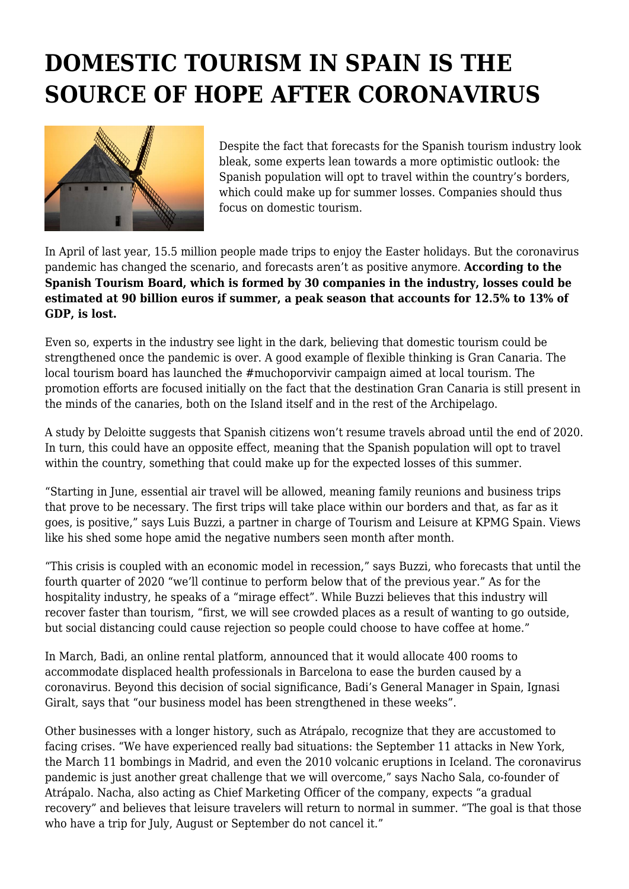## **DOMESTIC TOURISM IN SPAIN IS THE SOURCE OF HOPE AFTER CORONAVIRUS**



Despite the fact that forecasts for the Spanish tourism industry look bleak, some experts lean towards a more optimistic outlook: the Spanish population will opt to travel within the country's borders, which could make up for summer losses. Companies should thus focus on domestic tourism.

In April of last year, 15.5 million people made trips to enjoy the Easter holidays. But the coronavirus pandemic has changed the scenario, and forecasts aren't as positive anymore. **According to the Spanish Tourism Board, which is formed by 30 companies in the industry, losses could be estimated at 90 billion euros if summer, a peak season that accounts for 12.5% to 13% of GDP, is lost.**

Even so, experts in the industry see light in the dark, believing that domestic tourism could be strengthened once the pandemic is over. A good example of flexible thinking is Gran Canaria. The local tourism board has launched the #muchoporvivir campaign aimed at local tourism. The promotion efforts are focused initially on the fact that the destination Gran Canaria is still present in the minds of the canaries, both on the Island itself and in the rest of the Archipelago.

A study by Deloitte suggests that Spanish citizens won't resume travels abroad until the end of 2020. In turn, this could have an opposite effect, meaning that the Spanish population will opt to travel within the country, something that could make up for the expected losses of this summer.

"Starting in June, essential air travel will be allowed, meaning family reunions and business trips that prove to be necessary. The first trips will take place within our borders and that, as far as it goes, is positive," says Luis Buzzi, a partner in charge of Tourism and Leisure at KPMG Spain. Views like his shed some hope amid the negative numbers seen month after month.

"This crisis is coupled with an economic model in recession," says Buzzi, who forecasts that until the fourth quarter of 2020 "we'll continue to perform below that of the previous year." As for the hospitality industry, he speaks of a "mirage effect". While Buzzi believes that this industry will recover faster than tourism, "first, we will see crowded places as a result of wanting to go outside, but social distancing could cause rejection so people could choose to have coffee at home."

In March, Badi, an online rental platform, announced that it would allocate 400 rooms to accommodate displaced health professionals in Barcelona to ease the burden caused by a coronavirus. Beyond this decision of social significance, Badi's General Manager in Spain, Ignasi Giralt, says that "our business model has been strengthened in these weeks".

Other businesses with a longer history, such as Atrápalo, recognize that they are accustomed to facing crises. "We have experienced really bad situations: the September 11 attacks in New York, the March 11 bombings in Madrid, and even the 2010 volcanic eruptions in Iceland. The coronavirus pandemic is just another great challenge that we will overcome," says Nacho Sala, co-founder of Atrápalo. Nacha, also acting as Chief Marketing Officer of the company, expects "a gradual recovery" and believes that leisure travelers will return to normal in summer. "The goal is that those who have a trip for July, August or September do not cancel it."